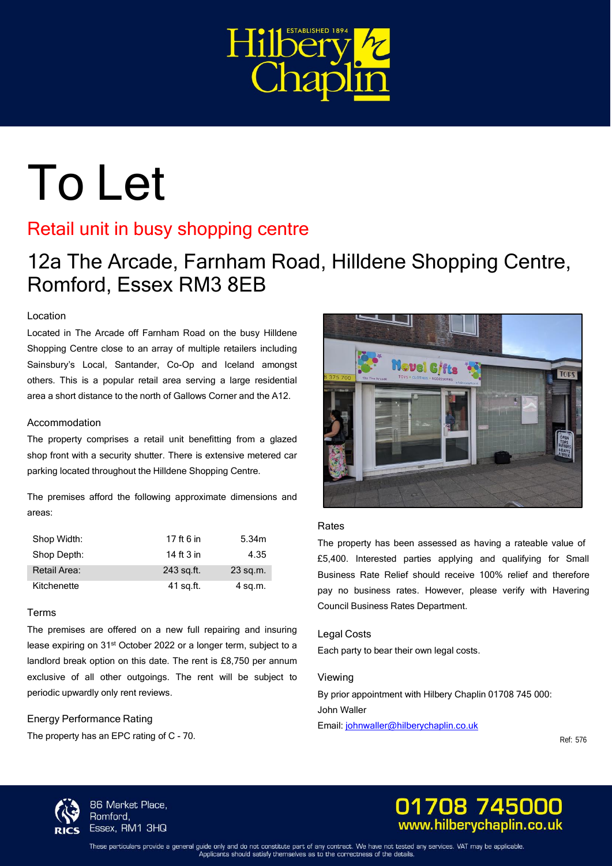

# To Let

# Retail unit in busy shopping centre

12a The Arcade, Farnham Road, Hilldene Shopping Centre, Romford, Essex RM3 8EB

# Location

Located in The Arcade off Farnham Road on the busy Hilldene Shopping Centre close to an array of multiple retailers including Sainsbury's Local, Santander, Co-Op and Iceland amongst others. This is a popular retail area serving a large residential area a short distance to the north of Gallows Corner and the A12.

### Accommodation

The property comprises a retail unit benefitting from a glazed shop front with a security shutter. There is extensive metered car parking located throughout the Hilldene Shopping Centre.

The premises afford the following approximate dimensions and areas:

| Shop Width:  | 17 ft 6 in | 5.34m     |
|--------------|------------|-----------|
| Shop Depth:  | 14 ft 3 in | 4.35      |
| Retail Area: | 243 sq.ft. | 23 sq.m.  |
| Kitchenette  | 41 sq.ft.  | $4$ sq.m. |

#### Terms

The premises are offered on a new full repairing and insuring lease expiring on 31<sup>st</sup> October 2022 or a longer term, subject to a landlord break option on this date. The rent is £8,750 per annum exclusive of all other outgoings. The rent will be subject to periodic upwardly only rent reviews.

# Energy Performance Rating

The property has an EPC rating of C - 70.



#### Rates

The property has been assessed as having a rateable value of £5,400. Interested parties applying and qualifying for Small Business Rate Relief should receive 100% relief and therefore pay no business rates. However, please verify with Havering Council Business Rates Department.

#### Legal Costs

Each party to bear their own legal costs.

#### Viewing

By prior appointment with Hilbery Chaplin 01708 745 000: John Waller Email: [johnwaller@hilberychaplin.co.uk](mailto:johnwaller@hilberychaplin.co.uk)

Ref: 576



86 Market Place, Romford, Essex, RM1 3HQ



These particulars provide a general guide only and do not constitute part of any contract. We have not tested any services. VAT may be applicable Applicants should satisfy themselves as to the correctness of the details